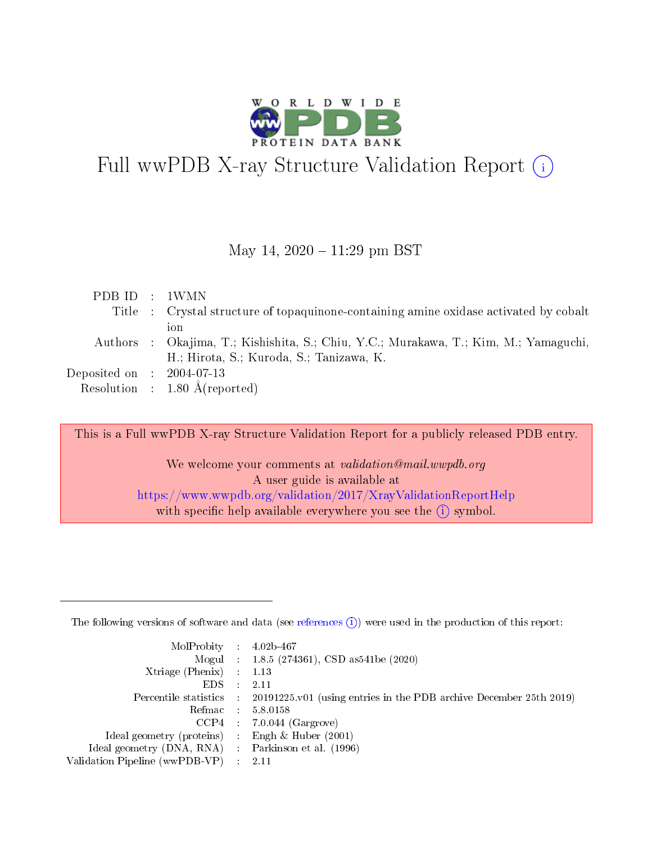

# Full wwPDB X-ray Structure Validation Report  $(i)$

### May 14,  $2020 - 11:29$  pm BST

| PDB ID : 1WMN               |                                                                                       |
|-----------------------------|---------------------------------------------------------------------------------------|
|                             | Title : Crystal structure of topaquinone-containing amine oxidase activated by cobalt |
|                             | 10 n                                                                                  |
|                             | Authors : Okajima, T.; Kishishita, S.; Chiu, Y.C.; Murakawa, T.; Kim, M.; Yamaguchi,  |
|                             | H.; Hirota, S.; Kuroda, S.; Tanizawa, K.                                              |
| Deposited on : $2004-07-13$ |                                                                                       |
|                             | Resolution : $1.80 \text{ Å}$ (reported)                                              |

This is a Full wwPDB X-ray Structure Validation Report for a publicly released PDB entry.

We welcome your comments at validation@mail.wwpdb.org A user guide is available at <https://www.wwpdb.org/validation/2017/XrayValidationReportHelp> with specific help available everywhere you see the  $(i)$  symbol.

The following versions of software and data (see [references](https://www.wwpdb.org/validation/2017/XrayValidationReportHelp#references)  $(1)$ ) were used in the production of this report:

| $MolProbability$ : 4.02b-467                        |               |                                                                                            |
|-----------------------------------------------------|---------------|--------------------------------------------------------------------------------------------|
|                                                     |               | Mogul : $1.8.5$ (274361), CSD as 541be (2020)                                              |
| Xtriage (Phenix) $: 1.13$                           |               |                                                                                            |
| EDS.                                                | $\mathcal{L}$ | 2.11                                                                                       |
|                                                     |               | Percentile statistics : 20191225.v01 (using entries in the PDB archive December 25th 2019) |
| Refmac 5.8.0158                                     |               |                                                                                            |
|                                                     |               | $CCP4$ : 7.0.044 (Gargrove)                                                                |
| Ideal geometry (proteins)                           |               | Engh $\&$ Huber (2001)                                                                     |
| Ideal geometry (DNA, RNA) : Parkinson et al. (1996) |               |                                                                                            |
| Validation Pipeline (wwPDB-VP) : 2.11               |               |                                                                                            |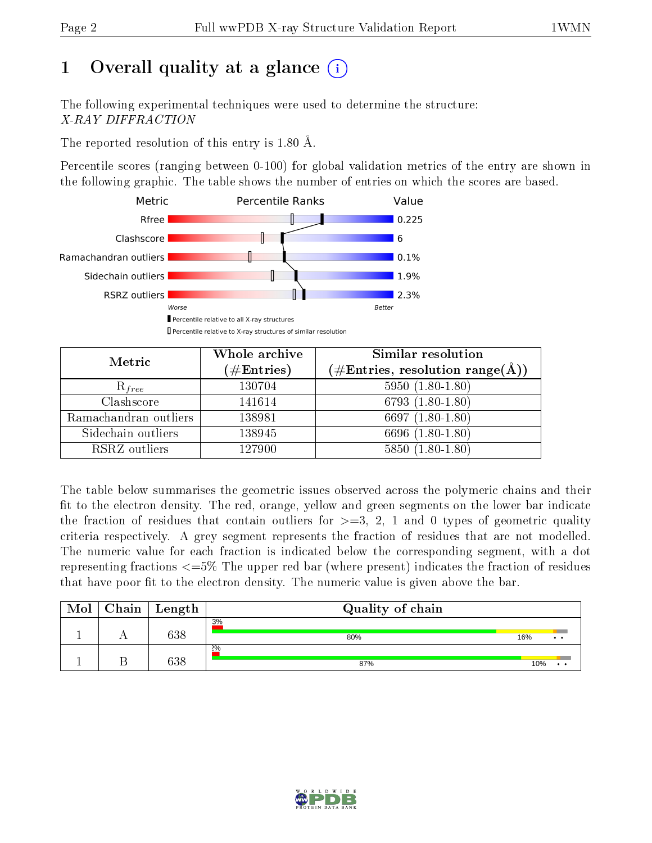# 1 [O](https://www.wwpdb.org/validation/2017/XrayValidationReportHelp#overall_quality)verall quality at a glance  $(i)$

The following experimental techniques were used to determine the structure: X-RAY DIFFRACTION

The reported resolution of this entry is 1.80 Å.

Percentile scores (ranging between 0-100) for global validation metrics of the entry are shown in the following graphic. The table shows the number of entries on which the scores are based.



| Metric                | Whole archive<br>$(\#\text{Entries})$ | Similar resolution<br>(#Entries, resolution range( $\AA$ )) |  |  |
|-----------------------|---------------------------------------|-------------------------------------------------------------|--|--|
| $R_{free}$            | 130704                                | $5950(1.80-1.80)$                                           |  |  |
| Clashscore            | 141614                                | 6793 $(1.80-1.80)$                                          |  |  |
| Ramachandran outliers | 138981                                | 6697 $(1.80-1.80)$                                          |  |  |
| Sidechain outliers    | 138945                                | 6696 (1.80-1.80)                                            |  |  |
| RSRZ outliers         | 127900                                | $5850(1.80-1.80)$                                           |  |  |

The table below summarises the geometric issues observed across the polymeric chains and their fit to the electron density. The red, orange, yellow and green segments on the lower bar indicate the fraction of residues that contain outliers for  $>=3, 2, 1$  and 0 types of geometric quality criteria respectively. A grey segment represents the fraction of residues that are not modelled. The numeric value for each fraction is indicated below the corresponding segment, with a dot representing fractions  $\epsilon=5\%$  The upper red bar (where present) indicates the fraction of residues that have poor fit to the electron density. The numeric value is given above the bar.

| Mol | Chain | Length | Quality of chain |     |     |
|-----|-------|--------|------------------|-----|-----|
|     |       | 638    | 3%<br>80%        | 16% | . . |
|     |       | 638    | 2%<br>87%        | 10% |     |

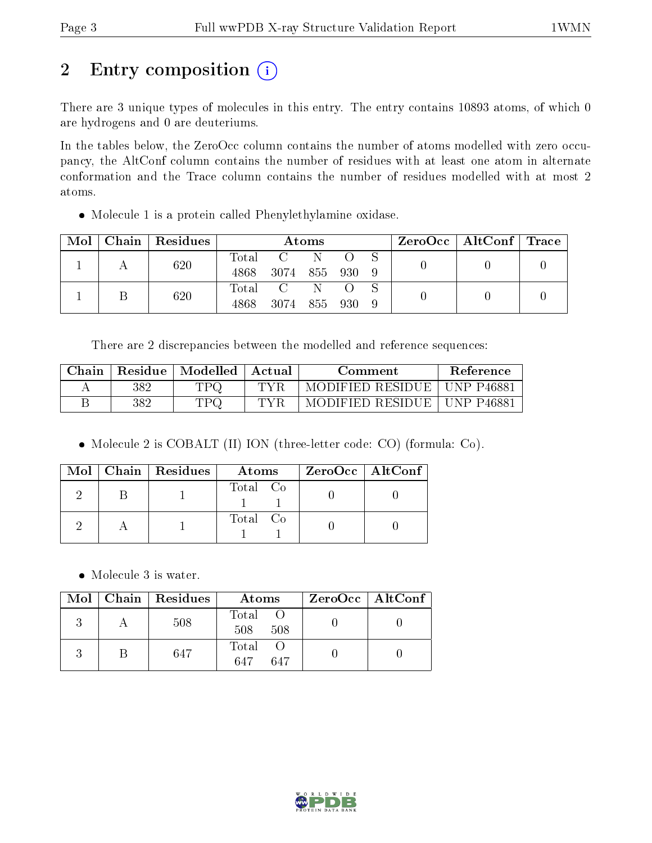# 2 Entry composition (i)

There are 3 unique types of molecules in this entry. The entry contains 10893 atoms, of which 0 are hydrogens and 0 are deuteriums.

In the tables below, the ZeroOcc column contains the number of atoms modelled with zero occupancy, the AltConf column contains the number of residues with at least one atom in alternate conformation and the Trace column contains the number of residues modelled with at most 2 atoms.

Molecule 1 is a protein called Phenylethylamine oxidase.

| $\text{Mol}$ |  | $\mid$ Chain $\mid$ Residues | Atoms          |              |              |  | $\text{ZeroOcc} \mid \text{AltConf} \mid \text{Trace}$ |  |  |
|--------------|--|------------------------------|----------------|--------------|--------------|--|--------------------------------------------------------|--|--|
|              |  | 620                          |                | Total C      |              |  |                                                        |  |  |
|              |  | 4868                         | 3074 855 930 9 |              |              |  |                                                        |  |  |
|              |  | 620                          |                | Total C      | $N = \Omega$ |  |                                                        |  |  |
|              |  |                              | 4868           | 3074 855 930 |              |  |                                                        |  |  |

There are 2 discrepancies between the modelled and reference sequences:

| Chain | Residue | Modelled | Actual | Comment          | Reference  |
|-------|---------|----------|--------|------------------|------------|
|       | 382     | TPQ      | TVF    | MODIFIED RESIDUE | UNP P46881 |
|       | 382     | TD 6     | TVR    | MODIFIED RESIDUE | UNP P46881 |

Molecule 2 is COBALT (II) ION (three-letter code: CO) (formula: Co).

|  | Mol   Chain   Residues | Atoms    | $ZeroOcc \mid AltConf \mid$ |
|--|------------------------|----------|-----------------------------|
|  |                        | Total Co |                             |
|  |                        | Total Co |                             |

• Molecule 3 is water.

|  | $Mol$   Chain   Residues | Atoms               | $ZeroOcc \mid AltConf \mid$ |
|--|--------------------------|---------------------|-----------------------------|
|  | 508                      | Total<br>508<br>508 |                             |
|  | 647                      | Total<br>647<br>647 |                             |

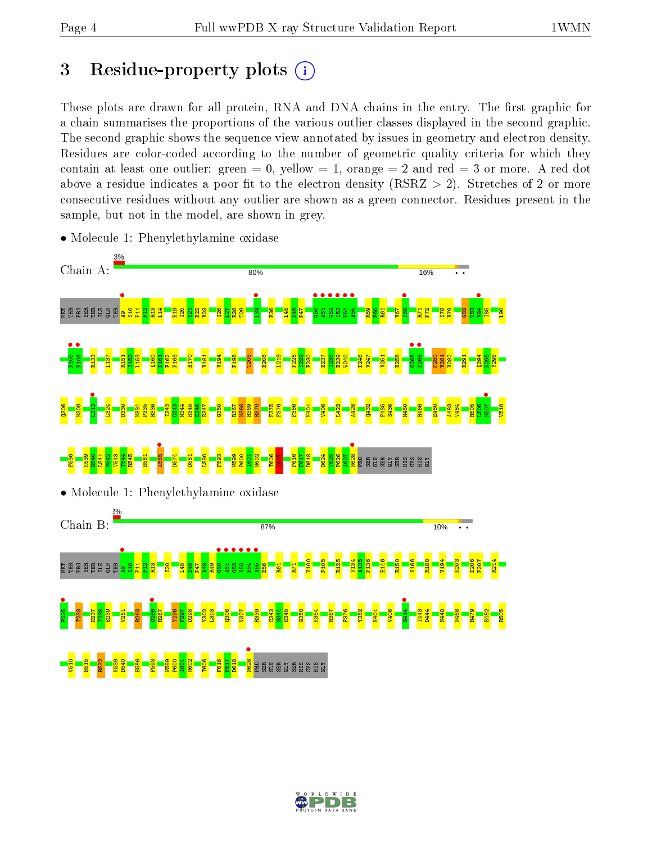# 3 Residue-property plots  $(i)$

These plots are drawn for all protein, RNA and DNA chains in the entry. The first graphic for a chain summarises the proportions of the various outlier classes displayed in the second graphic. The second graphic shows the sequence view annotated by issues in geometry and electron density. Residues are color-coded according to the number of geometric quality criteria for which they contain at least one outlier: green  $= 0$ , yellow  $= 1$ , orange  $= 2$  and red  $= 3$  or more. A red dot above a residue indicates a poor fit to the electron density (RSRZ  $> 2$ ). Stretches of 2 or more consecutive residues without any outlier are shown as a green connector. Residues present in the sample, but not in the model, are shown in grey.



• Molecule 1: Phenylethylamine oxidase

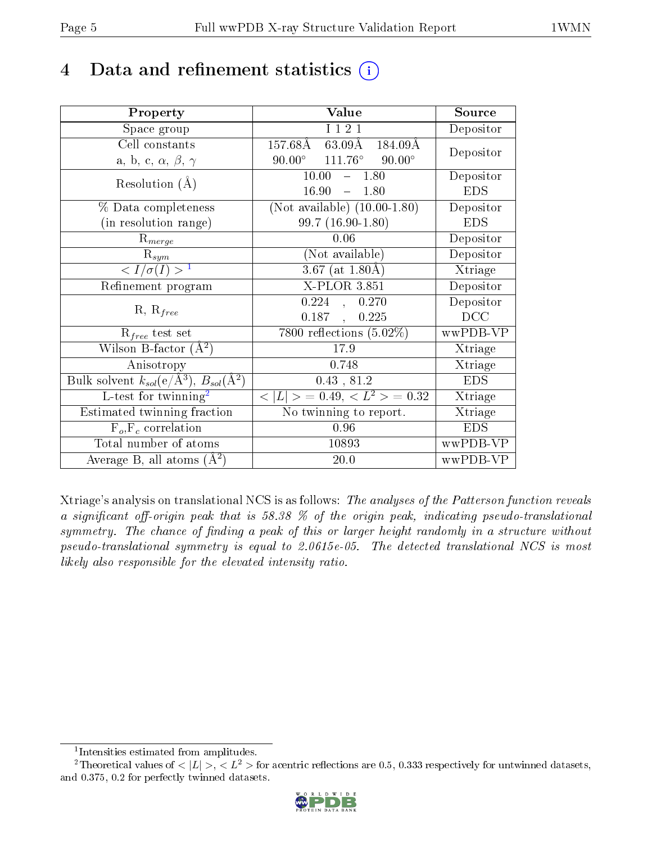# 4 Data and refinement statistics  $(i)$

| Property                                                         | Value                                              | Source     |
|------------------------------------------------------------------|----------------------------------------------------|------------|
| Space group                                                      | I 1 2 1                                            | Depositor  |
| Cell constants                                                   | $63.09\text{\AA}$<br>$157.68\rm\AA$<br>184.09Å     | Depositor  |
| a, b, c, $\alpha$ , $\beta$ , $\gamma$                           | $111.76^\circ$<br>$90.00^{\circ}$<br>$90.00^\circ$ |            |
| Resolution $(A)$                                                 | 10.00<br>$-1.80$                                   | Depositor  |
|                                                                  | 16.90<br>$-1.80$                                   | <b>EDS</b> |
| % Data completeness                                              | (Not available) $(10.00-1.80)$                     | Depositor  |
| (in resolution range)                                            | $99.7(16.90-1.80)$                                 | <b>EDS</b> |
| $R_{merge}$                                                      | 0.06                                               | Depositor  |
| $\mathrm{R}_{sym}$                                               | (Not available)                                    | Depositor  |
| $\langle I/\sigma(I) \rangle^{-1}$                               | $3.67$ (at 1.80Å)                                  | Xtriage    |
| Refinement program                                               | X-PLOR 3.851                                       | Depositor  |
|                                                                  | 0.224<br>, 0.270                                   | Depositor  |
| $R, R_{free}$                                                    | 0.187<br>0.225<br>$\mathbf{r}$                     | DCC        |
| $R_{free}$ test set                                              | $\overline{7800}$ reflections $(5.02\%)$           | wwPDB-VP   |
| Wilson B-factor $(A^2)$                                          | 17.9                                               | Xtriage    |
| Anisotropy                                                       | 0.748                                              | Xtriage    |
| Bulk solvent $k_{sol}(e/\mathrm{A}^3)$ , $B_{sol}(\mathrm{A}^2)$ | 0.43, 81.2                                         | <b>EDS</b> |
| L-test for twinning <sup>2</sup>                                 | $< L >$ = 0.49, $< L^2 >$ = 0.32                   | Xtriage    |
| Estimated twinning fraction                                      | No twinning to report.                             | Xtriage    |
| $\overline{F_o, F_c}$ correlation                                | 0.96                                               | <b>EDS</b> |
| Total number of atoms                                            | 10893                                              | wwPDB-VP   |
| Average B, all atoms $(A^2)$                                     | 20.0                                               | wwPDB-VP   |

Xtriage's analysis on translational NCS is as follows: The analyses of the Patterson function reveals a significant off-origin peak that is 58.38  $\%$  of the origin peak, indicating pseudo-translational symmetry. The chance of finding a peak of this or larger height randomly in a structure without pseudo-translational symmetry is equal to 2.0615e-05. The detected translational NCS is most likely also responsible for the elevated intensity ratio.

<sup>&</sup>lt;sup>2</sup>Theoretical values of  $\langle |L| \rangle$ ,  $\langle L^2 \rangle$  for acentric reflections are 0.5, 0.333 respectively for untwinned datasets, and 0.375, 0.2 for perfectly twinned datasets.



<span id="page-4-1"></span><span id="page-4-0"></span><sup>1</sup> Intensities estimated from amplitudes.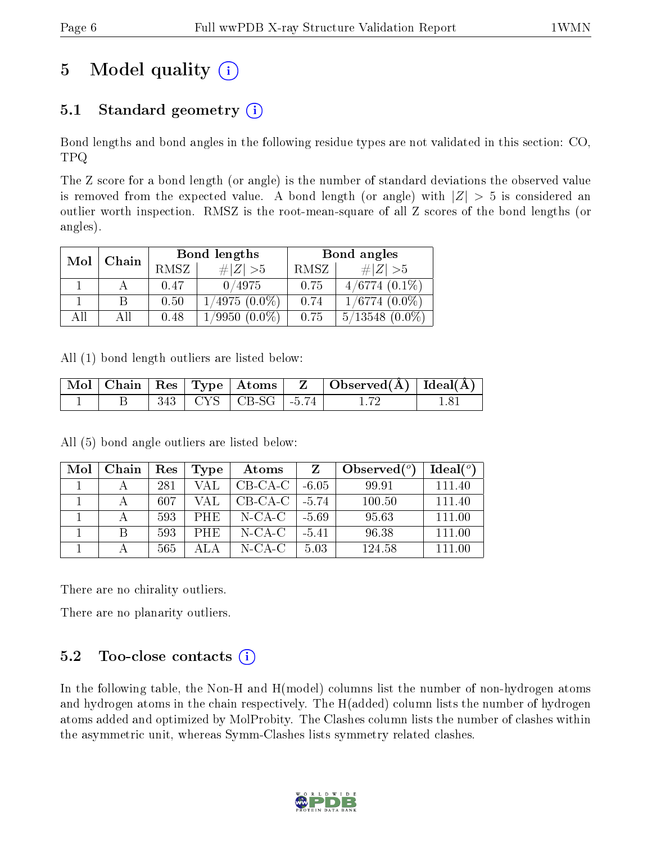# 5 Model quality  $(i)$

## 5.1 Standard geometry  $(i)$

Bond lengths and bond angles in the following residue types are not validated in this section: CO, TPQ

The Z score for a bond length (or angle) is the number of standard deviations the observed value is removed from the expected value. A bond length (or angle) with  $|Z| > 5$  is considered an outlier worth inspection. RMSZ is the root-mean-square of all Z scores of the bond lengths (or angles).

| Mol | Chain |      | Bond lengths    | Bond angles |                     |  |
|-----|-------|------|-----------------|-------------|---------------------|--|
|     |       | RMSZ | $\# Z >5$       | RMSZ        | # $ Z  > 5$         |  |
|     |       | 0.47 | 0/4975          | 0.75        | $4/6774(0.1\%)$     |  |
|     |       | 0.50 | $1/4975(0.0\%)$ | 0.74        | $1/6774$ $(0.0\%)$  |  |
| All | Αll   | 0.48 | $1/9950(0.0\%)$ | 0.75        | $5/13548$ $(0.0\%)$ |  |

All (1) bond length outliers are listed below:

|  |  |                               | $\mid$ Mol $\mid$ Chain $\mid$ Res $\mid$ Type $\mid$ Atoms $\mid$ $\mid$ Z $\mid$ Observed(A) $\mid$ Ideal(A) $\mid$ |  |
|--|--|-------------------------------|-----------------------------------------------------------------------------------------------------------------------|--|
|  |  | $343$   CYS   CB-SG   -5.74 + |                                                                                                                       |  |

All (5) bond angle outliers are listed below:

| Mol | Chain | Res | Type       | Atoms     |         | Observed $(°)$ | Ideal(°) |
|-----|-------|-----|------------|-----------|---------|----------------|----------|
|     |       | 281 | <b>VAL</b> | $CB-CA-C$ | $-6.05$ | 99.91          | 111.40   |
|     |       | 607 | VAL        | $CB-CA-C$ | $-5.74$ | 100.50         | 111.40   |
|     |       | 593 | PHE.       | $N$ -CA-C | $-5.69$ | 95.63          | 111.00   |
|     |       | 593 | <b>PHE</b> | $N$ -CA-C | $-5.41$ | 96.38          | 111.00   |
|     |       | 565 |            | N-CA-C    | 5.03    | 124.58         | 111.00   |

There are no chirality outliers.

There are no planarity outliers.

## 5.2 Too-close contacts  $(i)$

In the following table, the Non-H and H(model) columns list the number of non-hydrogen atoms and hydrogen atoms in the chain respectively. The H(added) column lists the number of hydrogen atoms added and optimized by MolProbity. The Clashes column lists the number of clashes within the asymmetric unit, whereas Symm-Clashes lists symmetry related clashes.

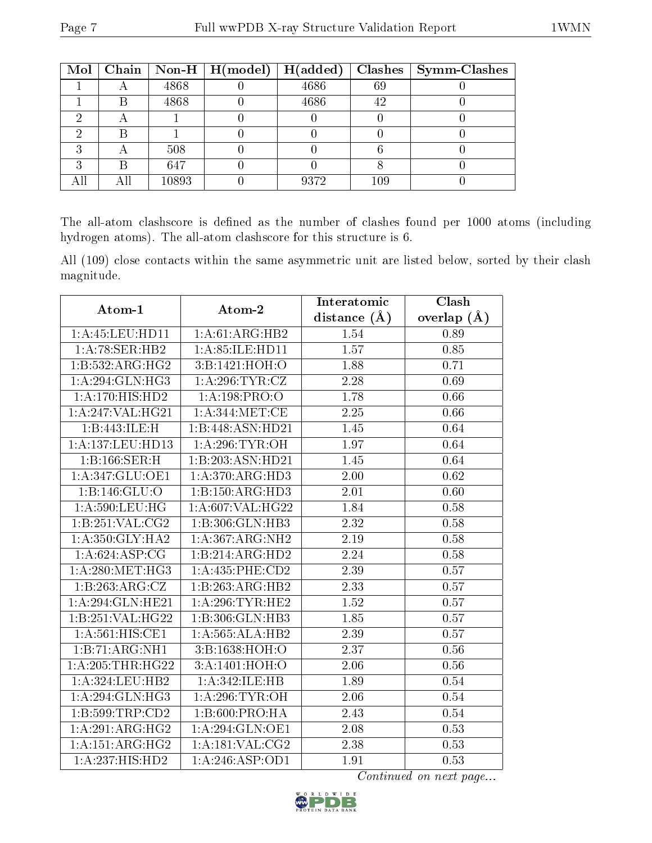|   |       | Mol   Chain   Non-H   H(model)   H(added) |      |     | $Clashes$   Symm-Clashes |
|---|-------|-------------------------------------------|------|-----|--------------------------|
|   | 4868  |                                           | 4686 | 69  |                          |
| Β | 4868  |                                           | 4686 | 42  |                          |
|   |       |                                           |      |     |                          |
|   |       |                                           |      |     |                          |
|   | 508   |                                           |      |     |                          |
| B | 647   |                                           |      |     |                          |
|   | 10893 |                                           | 9372 | 109 |                          |

The all-atom clashscore is defined as the number of clashes found per 1000 atoms (including hydrogen atoms). The all-atom clashscore for this structure is 6.

All (109) close contacts within the same asymmetric unit are listed below, sorted by their clash magnitude.

|                     |                    | Interatomic    | Clash           |  |
|---------------------|--------------------|----------------|-----------------|--|
| Atom-1              | Atom-2             | distance $(A)$ | overlap $(\AA)$ |  |
| 1: A: 45: LEU: HD11 | 1: A:61: ARG: HB2  | 1.54           | 0.89            |  |
| 1: A:78: SER:HB2    | 1: A:85: ILE: HD11 | 1.57           | 0.85            |  |
| 1:B:532:ARG:HG2     | 3:B:1421:HOH:O     | 1.88           | 0.71            |  |
| 1:A:294:GLN:HG3     | 1: A:296:TYR:CZ    | 2.28           | 0.69            |  |
| 1: A: 170: HIS: HD2 | 1: A: 198: PRO: O  | 1.78           | 0.66            |  |
| 1:A:247:VAL:HG21    | 1: A:344:MET:CE    | 2.25           | 0.66            |  |
| 1:B:443:ILE:H       | 1:B:448:ASN:HD21   | 1.45           | 0.64            |  |
| 1:A:137:LEU:HD13    | 1: A:296:TYR:OH    | 1.97           | 0.64            |  |
| 1: B: 166: SER:H    | 1:B:203:ASN:HD21   | 1.45           | 0.64            |  |
| 1:A:347:GLU:OE1     | 1:A:370:ARG:HD3    | 2.00           | 0.62            |  |
| 1:B:146:GLU:O       | 1:B:150:ARG:HD3    | 2.01           | 0.60            |  |
| 1: A:590:LEU:HG     | 1:A:607:VAL:HG22   | 1.84           | 0.58            |  |
| 1:B:251:VAL:CG2     | 1:B:306:GLN:HB3    | 2.32           | 0.58            |  |
| 1: A:350: GLY:HA2   | 1:A:367:ARG:NH2    | 2.19           | 0.58            |  |
| 1:A:624:ASP:CG      | 1:B:214:ARG:HD2    | 2.24           | 0.58            |  |
| 1: A:280:MET:HG3    | 1:A:435:PHE:CD2    | 2.39           | 0.57            |  |
| 1:B:263:ARG:CZ      | 1:B:263:ARG:HB2    | 2.33           | 0.57            |  |
| 1:A:294:GLN:HE21    | 1:A:296:TYR:HE2    | 1.52           | $0.57\,$        |  |
| 1:B:251:VAL:HG22    | $1:B:306:$ GLN:HB3 | 1.85           | 0.57            |  |
| 1: A:561:HIS:CE1    | 1:A:565:ALA:HB2    | 2.39           | 0.57            |  |
| 1:B:71:ARG:NH1      | 3:B:1638:HOH:O     | 2.37           | $0.56\,$        |  |
| 1:A:205:THR:HG22    | 3:A:1401:HOH:O     | 2.06           | 0.56            |  |
| 1:A:324:LEU:HB2     | 1:A:342:ILE:HB     | 1.89           | 0.54            |  |
| 1:A:294:GLN:HG3     | 1: A:296: TYR:OH   | 2.06           | 0.54            |  |
| 1: B:599:TRP:CD2    | 1: B:600: PRO:HA   | 2.43           | 0.54            |  |
| 1:A:291:ARG:HG2     | 1:A:294:GLN:OE1    | 2.08           | 0.53            |  |
| 1:A:151:ARG:HG2     | 1: A:181: VAL: CG2 | 2.38           | 0.53            |  |
| 1:A:237:HIS:HD2     | 1: A:246: ASP:OD1  | 1.91           | 0.53            |  |

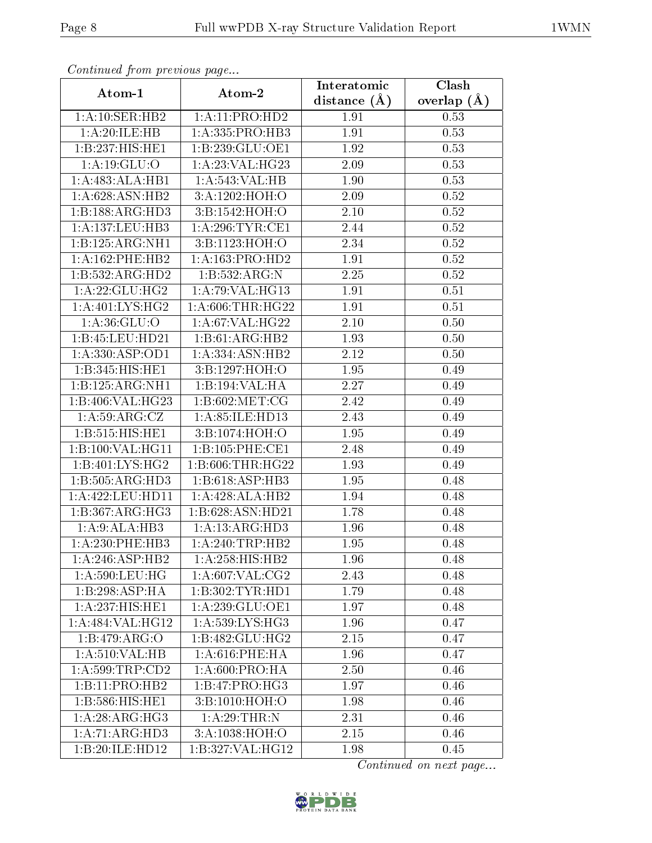| Continuea from previous page          |                              | Interatomic    | Clash         |  |
|---------------------------------------|------------------------------|----------------|---------------|--|
| Atom-1                                | Atom-2                       | distance $(A)$ | overlap $(A)$ |  |
| 1: A:10: SER: HB2                     | 1:A:11:PRO:HD2               | 1.91           | 0.53          |  |
| 1:A:20:ILE:HB                         | 1:A:335:PRO:HB3              | 1.91           | 0.53          |  |
| 1:B:237:HIS:HE1                       | 1:B:239:GLU:OE1              | 1.92           | 0.53          |  |
| 1:A:19:GLU:O                          | 1:A:23:VAL:HG23              | 2.09           | 0.53          |  |
| 1:A:483:ALA:HB1                       | 1:A:543:VAL:HB               | 1.90           | 0.53          |  |
| 1: A:628: ASN:HB2                     | 3:A:1202:HOH:O               | 2.09           | 0.52          |  |
| $1:B:188:ARG:\overline{HD3}$          | 3:B:1542:HOH:O               | $2.10\,$       | 0.52          |  |
| 1: A: 137: LEU: HB3                   | 1: A:296:TYR:CE1             | 2.44           | 0.52          |  |
| 1:B:125:ARG:NH1                       | 3:B:1123:HOH:O               | 2.34           | 0.52          |  |
| 1: A: 162: PHE: HB2                   | 1: A: 163: PRO: HD2          | 1.91           | 0.52          |  |
| 1:B:532:ARG:HD2                       | 1:B:532:ARG:N                | 2.25           | 0.52          |  |
| 1: A:22: GLU:HG2                      | 1: A:79: VAL:HG13            | 1.91           | 0.51          |  |
| 1:A:401:LYS:HG2                       | 1: A:606:THR:HG22            | 1.91           | 0.51          |  |
| 1:A:36:GLU:O                          | 1: A:67: VAL:HG22            | 2.10           | 0.50          |  |
| 1:B:45:LEU:HD21                       | 1:B:61:ARG:HB2               | 1.93           | 0.50          |  |
| 1: A: 330: ASP: OD1                   | 1:A:334:ASN:HB2              | 2.12           | 0.50          |  |
| 1:B:345:HIS:HE1                       | 3:B:1297:HOH:O               | 1.95           | 0.49          |  |
| 1:B:125:ARG:NH1                       | 1:B:194:VAL:HA               | 2.27           | 0.49          |  |
| 1:B:406:VAL:HG23                      | 1: B:602: MET:CG             | 2.42           | 0.49          |  |
| 1:A:59:ARG:CZ                         | 1: A:85: ILE: HD13           | 2.43           | 0.49          |  |
| 1:B:515:HIS:HE1                       | 3:B:1074:HOH:O               | 1.95           | 0.49          |  |
| 1:B:100:VAL:HG11                      | 1:B:105:PHE:CE1              | 2.48           | 0.49          |  |
| 1:B:401:LYS:HG2                       | 1:B:606:THR:HG22             | 1.93           | 0.49          |  |
| 1:B:505:ARG:HD3                       | 1:B:618:ASP:HB3              | 1.95           | 0.48          |  |
| 1:A:422:LEU:HD11                      | 1:A:428:ALA:HB2              | 1.94           | 0.48          |  |
| 1:B:367:ARG:HG3                       | 1:B:628:ASN:HD21             | 1.78           | 0.48          |  |
| 1:A:9:ALA:HB3                         | 1:A:13:ARG:HD3               | 1.96           | 0.48          |  |
| $1: A:230:$ PHE:HB3                   | $1:A:240:TRP:H\overline{B2}$ | 1.95           | 0.48          |  |
| 1:A:246:ASP:HB2                       | 1: A:258: HIS: HB2           | 1.96           | 0.48          |  |
| 1: A:590:LEU:HG                       | 1: A:607: VAL:CG2            | 2.43           | 0.48          |  |
| 1:B:298:ASP:HA                        | 1:B:302:TYR:HD1              | 1.79           | 0.48          |  |
| 1:A:237:HIS:HE1                       | 1:A:239:GLU:OE1              | 1.97           | 0.48          |  |
| 1:A:484:VAL:HG12                      | 1: A:539: LYS: HG3           | 1.96           | 0.47          |  |
| 1:B:479:ARG:O                         | 1:B:482:GLU:HG2              | 2.15           | 0.47          |  |
| 1:A:510:VAL:HB                        | $1: A:616:$ PHE:HA           | 1.96           | 0.47          |  |
| $1: A:599: \overline{\text{TRP:CD2}}$ | 1:A:600:PRO:HA               | 2.50           | 0.46          |  |
| 1:B:11:PRO:HB2                        | 1: B: 47: PRO:HG3            | 1.97           | 0.46          |  |
| 1: B: 586: HIS: HE1                   | 3:B:1010:HOH:O               | 1.98           | 0.46          |  |
| 1:A:28:ARG:HG3                        | 1: A:29:THR:N                | 2.31           | 0.46          |  |
| 1:A:71:ARG:HD3                        | 3:A:1038:HOH:O               | 2.15           | 0.46          |  |
| 1:B:20:ILE:HD12                       | 1:B:327:VAL:HG12             | 1.98           | 0.45          |  |

Continued from previous page.

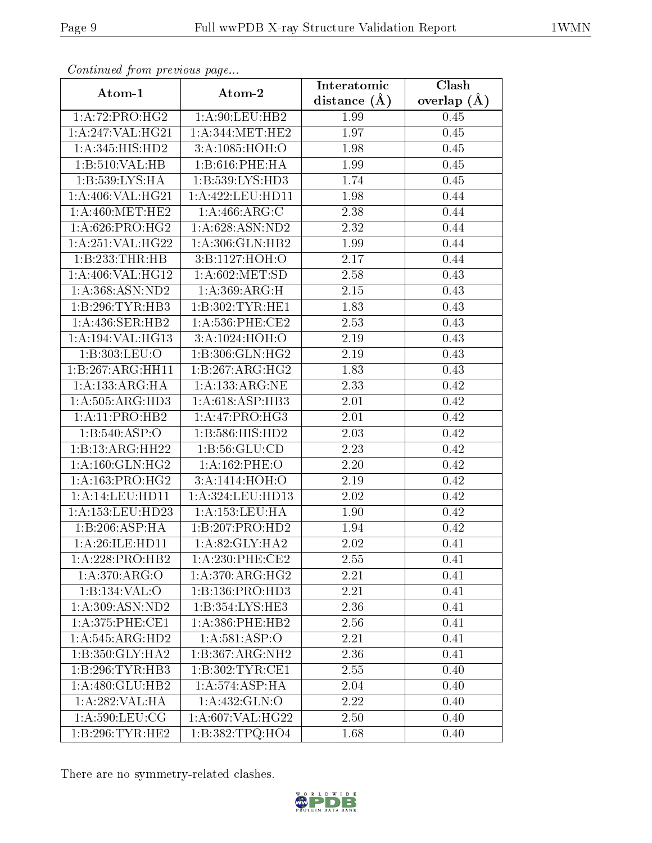| Communa from previous page |                                              | Interatomic      | Clash           |  |
|----------------------------|----------------------------------------------|------------------|-----------------|--|
| Atom-1                     | Atom-2                                       | distance $(\AA)$ | overlap $(\AA)$ |  |
| 1:A:72:PRO:HG2             | 1: A:90: LEU: HB2                            | 1.99             | 0.45            |  |
| 1:A:247:VAL:HG21           | $1: A:344: \overline{\text{MET}:\text{HE2}}$ | 1.97             | 0.45            |  |
| 1: A:345: HIS: HD2         | 3:A:1085:HOH:O                               | 1.98             | 0.45            |  |
| 1:B:510:VAL:HB             | 1:B:616:PHE:HA                               | 1.99             | 0.45            |  |
| 1:B:539:LYS:HA             | 1:B:539:LYS:HD3                              | 1.74             | 0.45            |  |
| 1: A:406: VAL:HG21         | 1:A:422:LEU:HDI1                             | 1.98             | 0.44            |  |
| 1: A:460:MET:HE2           | 1:A:466:ARG:C                                | 2.38             | 0.44            |  |
| 1: A:626: PRO:HG2          | 1: A:628: ASN:ND2                            | 2.32             | 0.44            |  |
| 1:A:251:VAL:HG22           | 1:A:306:GLN:HB2                              | 1.99             | 0.44            |  |
| 1:B:233:THR:HB             | 3:B:1127:HOH:O                               | 2.17             | 0.44            |  |
| 1:A:406:VAL:HG12           | 1: A:602:MET:SD                              | 2.58             | 0.43            |  |
| 1:A:368:ASN:ND2            | 1:A:369:ARG:H                                | 2.15             | 0.43            |  |
| 1:B:296:TYR:HB3            | 1:B:302:TYR:HE1                              | 1.83             | 0.43            |  |
| 1: A:436: SER: HB2         | $1: A:536:$ PHE:CE2                          | 2.53             | 0.43            |  |
| 1:A:194:VAL:HG13           | 3:A:1024:HOH:O                               | 2.19             | 0.43            |  |
| 1:B:303:LEU:O              | $1:B:306:GLN:H\overline{G2}$                 | 2.19             | 0.43            |  |
| 1:B:267:ARG:HH11           | 1:B:267:ARG:HG2                              | 1.83             | 0.43            |  |
| 1: A: 133: ARG: HA         | 1: A: 133: ARG: NE                           | 2.33             | 0.42            |  |
| 1: A: 505: ARG: HD3        | 1:A:618:ASP:HB3                              | 2.01             | 0.42            |  |
| 1: A: 11: PRO: HB2         | 1: A:47: PRO:HG3                             | 2.01             | 0.42            |  |
| 1:B:540:ASP:O              | 1: B: 586: HIS: HD2                          | 2.03             | 0.42            |  |
| 1:B:13:ARG:HH22            | 1: B:56: GLU:CD                              | 2.23             | 0.42            |  |
| 1: A:160: GLN: HG2         | 1:A:162:PHE:O                                | 2.20             | 0.42            |  |
| 1: A: 163: PRO:HG2         | 3:A:1414:HOH:O                               | 2.19             | 0.42            |  |
| 1:A:14:LEU:HD11            | 1: A: 324: LEU: HD13                         | 2.02             | 0.42            |  |
| 1: A: 153: LEU: HD23       | 1:A:153:LEU:HA                               | 1.90             | 0.42            |  |
| 1:B:206:ASP:HA             | 1:B:207:PRO:HD2                              | 1.94             | 0.42            |  |
| 1: A:26: ILE: HD11         | 1: A:82: GLY:HA2                             | 2.02             | 0.41            |  |
| 1:A:228:PRO:HB2            | $1: A:230:$ PHE:CE2                          | 2.55             | 0.41            |  |
| 1:A:370:ARG:O              | 1:A:370:ARG:HG2                              | 2.21             | 0.41            |  |
| 1:B:134:VAL:O              | 1:B:136:PRO:HD3                              | 2.21             | 0.41            |  |
| 1:A:309:ASN:ND2            | 1:B:354:LYS:HE3                              | 2.36             | 0.41            |  |
| 1: A:375:PHE:CE1           | $1: A:386:$ PHE:HB2                          | 2.56             | 0.41            |  |
| 1:A:545:ARG:HD2            | 1:A:581:ASP:O                                | 2.21             | 0.41            |  |
| 1:B:350:GLY:HA2            | 1:B:367:ARG:NH2                              | 2.36             | 0.41            |  |
| 1:B:296:TYR:HB3            | 1:B:302:TYR:CE1                              | 2.55             | 0.40            |  |
| 1:A:480:GLU:HB2            | 1:A:574:ASP:HA                               | 2.04             | 0.40            |  |
| 1:A:282:VAL:HA             | 1:A:432:GLN:O                                | 2.22             | 0.40            |  |
| 1: A:590:LEU:CG            | 1:A:607:VAL:HG22                             | 2.50             | 0.40            |  |
| 1:B:296:TYR:HE2            | 1:B:382:TPQ:HO4                              | 1.68             | 0.40            |  |

Continued from previous page.

There are no symmetry-related clashes.

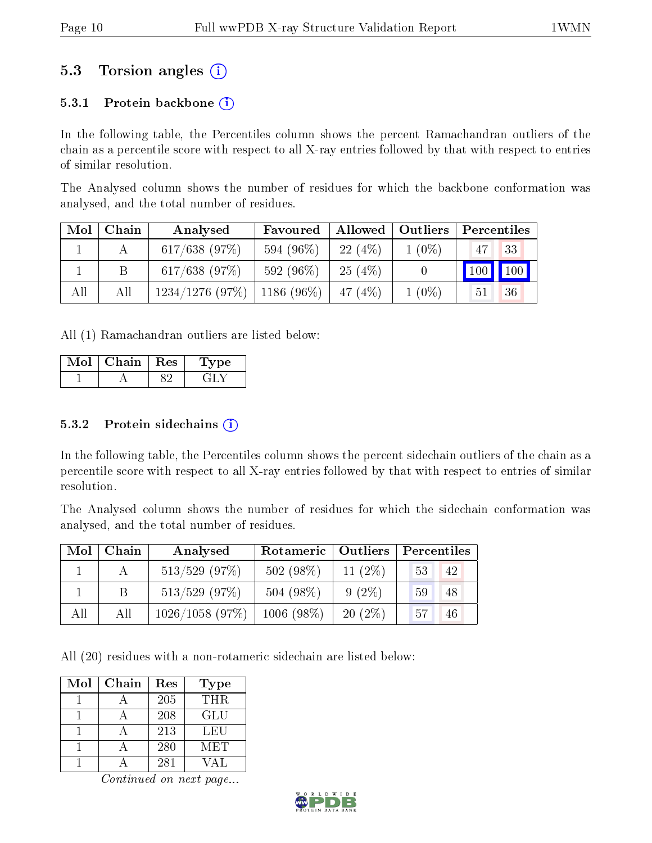## 5.3 Torsion angles (i)

### 5.3.1 Protein backbone  $(i)$

In the following table, the Percentiles column shows the percent Ramachandran outliers of the chain as a percentile score with respect to all X-ray entries followed by that with respect to entries of similar resolution.

The Analysed column shows the number of residues for which the backbone conformation was analysed, and the total number of residues.

| Mol | Chain | Analysed          | Favoured     |            | Allowed   Outliers | Percentiles |             |
|-----|-------|-------------------|--------------|------------|--------------------|-------------|-------------|
|     |       | $617/638$ (97%)   | 594 (96%)    | 22(4%)     | $1(0\%)$           | 47          | -33         |
|     |       | $617/638$ (97%)   | 592 (96\%)   | 25(4%)     |                    |             | 100 100     |
| All | All   | $1234/1276$ (97%) | $1186(96\%)$ | 47 $(4\%)$ | $1(0\%)$           | 51          | $\sqrt{36}$ |

All (1) Ramachandran outliers are listed below:

| Chain | $\operatorname{Res}% \left( \mathcal{N}\right) \simeq\operatorname{Res}(\mathcal{N})^{\ast}$ | Lype |
|-------|----------------------------------------------------------------------------------------------|------|
|       |                                                                                              |      |

#### $5.3.2$  Protein sidechains  $(i)$

In the following table, the Percentiles column shows the percent sidechain outliers of the chain as a percentile score with respect to all X-ray entries followed by that with respect to entries of similar resolution.

The Analysed column shows the number of residues for which the sidechain conformation was analysed, and the total number of residues.

| Mol | Chain | Analysed        | Rotameric   Outliers |            | Percentiles     |    |  |
|-----|-------|-----------------|----------------------|------------|-----------------|----|--|
|     |       | $513/529$ (97%) | 502 (98%)            | 11 $(2\%)$ | 53 <sup>1</sup> | 42 |  |
|     | B.    | $513/529$ (97%) | 504 (98%)            | $9(2\%)$   | 59 <sup>°</sup> | 48 |  |
| All | All   | 1026/1058(97%)  | $1006 (98\%)$        | $20(2\%)$  | 57              | 46 |  |

All (20) residues with a non-rotameric sidechain are listed below:

| Mol | Chain | Res | Type        |
|-----|-------|-----|-------------|
|     |       | 205 | THR.        |
|     |       | 208 | GLU         |
|     |       | 213 | LEU         |
|     |       | 280 | MET         |
|     |       | 281 | $\sqrt{A}L$ |

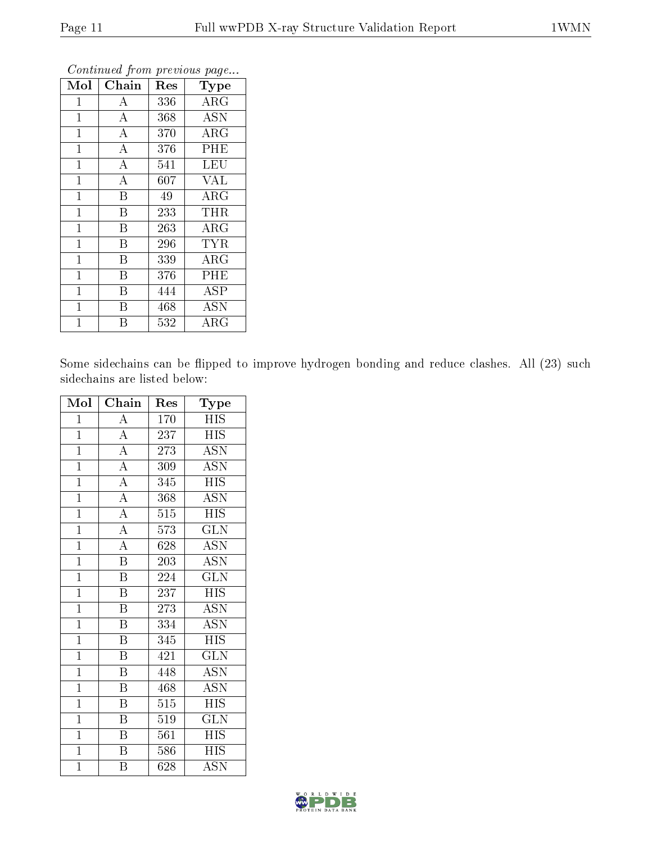| Mol            | Chain              | Res | Type       |
|----------------|--------------------|-----|------------|
| $\mathbf{1}$   | А                  | 336 | $\rm{ARG}$ |
| $\mathbf{1}$   | $\boldsymbol{A}$   | 368 | <b>ASN</b> |
| $\mathbf{1}$   | $\overline{\rm A}$ | 370 | $\rm{ARG}$ |
| $\mathbf{1}$   | $\bf{A}$           | 376 | PHE        |
| $\mathbf{1}$   | $\overline{\rm A}$ | 541 | LEU        |
| $\mathbf{1}$   | $\bf{A}$           | 607 | <b>VAL</b> |
| $\mathbf{1}$   | B                  | 49  | ARG        |
| $\mathbf{1}$   | B                  | 233 | <b>THR</b> |
| $\mathbf{1}$   | B                  | 263 | $\rm{ARG}$ |
| $\mathbf{1}$   | B                  | 296 | <b>TYR</b> |
| $\mathbf{1}$   | $\overline{B}$     | 339 | ARG        |
| $\mathbf{1}$   | B                  | 376 | PHE        |
| $\mathbf{1}$   | B                  | 444 | <b>ASP</b> |
| $\mathbf{1}$   | B                  | 468 | <b>ASN</b> |
| $\overline{1}$ | B                  | 532 | $\rm{ARG}$ |

Continued from previous page...

Some sidechains can be flipped to improve hydrogen bonding and reduce clashes. All (23) such sidechains are listed below:

| Mol            | Chain                   | Res              | Type                      |
|----------------|-------------------------|------------------|---------------------------|
| $\mathbf{1}$   | $\boldsymbol{A}$        | 170              | HIS                       |
| $\mathbf{1}$   | $\overline{A}$          | 237              | <b>HIS</b>                |
| $\mathbf{1}$   | $\overline{A}$          | 273              | <b>ASN</b>                |
| $\overline{1}$ | $\overline{A}$          | 309              | $\overline{\mathrm{ASN}}$ |
| $\mathbf{1}$   | $\overline{\rm A}$      | 345              | <b>HIS</b>                |
| $\overline{1}$ | $\overline{A}$          | 368              | $\overline{\mathrm{ASN}}$ |
| $\overline{1}$ | $\overline{A}$          | 515              | <b>HIS</b>                |
| $\overline{1}$ | $\overline{A}$          | 573              | <b>GLN</b>                |
| $\mathbf{1}$   | $\overline{\rm A}$      | 628              | $\overline{ASN}$          |
| $\mathbf{1}$   | $\overline{\mathrm{B}}$ | 203              | <b>ASN</b>                |
| $\mathbf{1}$   | $\overline{\mathrm{B}}$ | 224              | $\overline{\text{GLN}}$   |
| $\overline{1}$ | $\, {\bf B}$            | 237              | <b>HIS</b>                |
| $\overline{1}$ | $\overline{\mathrm{B}}$ | 273              | $\overline{\text{ASN}}$   |
| $\overline{1}$ | $\overline{\mathrm{B}}$ | 334              | <b>ASN</b>                |
| $\overline{1}$ | $\boldsymbol{B}$        | 345              | <b>HIS</b>                |
| $\overline{1}$ | $\boldsymbol{B}$        | 421              | $\rm GLN$                 |
| $\mathbf{1}$   | $\boldsymbol{B}$        | 448              | <b>ASN</b>                |
| $\mathbf{1}$   | $\boldsymbol{B}$        | 468              | <b>ASN</b>                |
| $\overline{1}$ | $\overline{\mathbf{B}}$ | 515              | <b>HIS</b>                |
| $\overline{1}$ | $\overline{\mathrm{B}}$ | 519              | $\overline{\text{GLN}}$   |
| $\overline{1}$ | $\overline{\mathrm{B}}$ | $\overline{561}$ | $\overline{HIS}$          |
| $\overline{1}$ | $\overline{\mathrm{B}}$ | 586              | <b>HIS</b>                |
| $\overline{1}$ | $\overline{\mathrm{B}}$ | $\overline{628}$ | $\overline{\mathrm{ASN}}$ |

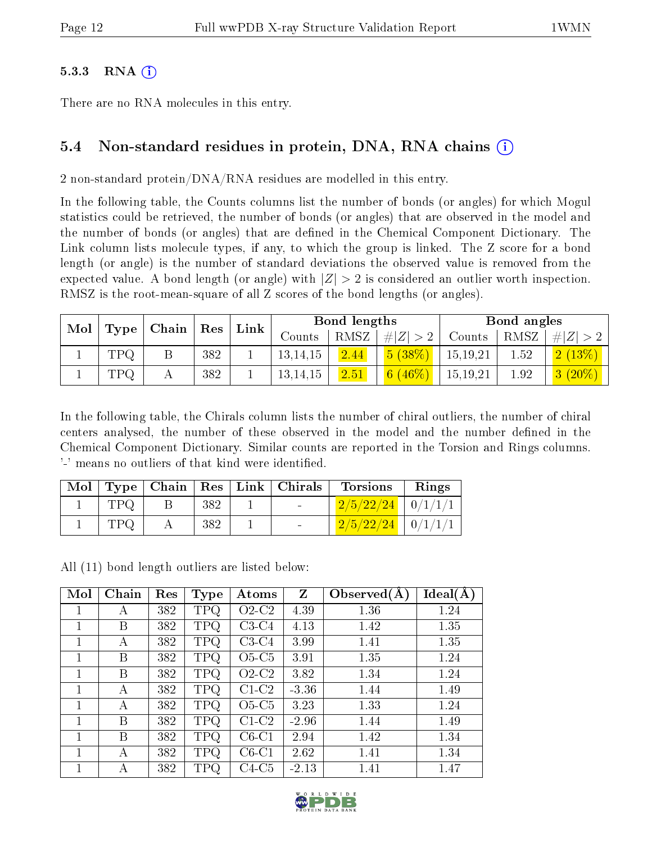#### $5.3.3$  RNA  $(i)$

There are no RNA molecules in this entry.

### 5.4 Non-standard residues in protein, DNA, RNA chains (i)

2 non-standard protein/DNA/RNA residues are modelled in this entry.

In the following table, the Counts columns list the number of bonds (or angles) for which Mogul statistics could be retrieved, the number of bonds (or angles) that are observed in the model and the number of bonds (or angles) that are defined in the Chemical Component Dictionary. The Link column lists molecule types, if any, to which the group is linked. The Z score for a bond length (or angle) is the number of standard deviations the observed value is removed from the expected value. A bond length (or angle) with  $|Z| > 2$  is considered an outlier worth inspection. RMSZ is the root-mean-square of all Z scores of the bond lengths (or angles).

| Mol |            |  |     | $\top$ Chain $\top$ | $\mid$ Res | Link |             | Bond lengths |      |           | Bond angles |  |  |
|-----|------------|--|-----|---------------------|------------|------|-------------|--------------|------|-----------|-------------|--|--|
|     | Type       |  |     |                     | Counts     | RMSZ | # $ Z  > 2$ | Counts       | RMSZ | H  Z      |             |  |  |
|     | <b>TPQ</b> |  | 382 |                     | 13, 14, 15 | 2.44 | 5(38%)      | 15, 19, 21   | 1.52 | 2(13%)    |             |  |  |
|     | <b>TPQ</b> |  | 382 |                     | 13, 14, 15 | 2.51 | 6 $(46\%)$  | 15, 19, 21   | 1.92 | $3(20\%)$ |             |  |  |

In the following table, the Chirals column lists the number of chiral outliers, the number of chiral centers analysed, the number of these observed in the model and the number defined in the Chemical Component Dictionary. Similar counts are reported in the Torsion and Rings columns. '-' means no outliers of that kind were identified.

| Mol |            |     | $\mid$ Type $\mid$ Chain $\mid$ Res $\mid$ Link $\mid$ Chirals | <b>Torsions</b>                                                                           | Rings |
|-----|------------|-----|----------------------------------------------------------------|-------------------------------------------------------------------------------------------|-------|
|     | <b>TPQ</b> | 382 | <b>Contract Contract</b>                                       | $\left\lfloor \frac{2}{5/22/24} \right\rfloor \left\lfloor \frac{0}{1/1/1} \right\rfloor$ |       |
|     | TPQ        | 382 | $\sim$                                                         | $\left\lfloor \frac{2}{5/22/24} \right\rfloor \left\lfloor \frac{0}{1/1/1} \right\rfloor$ |       |

All (11) bond length outliers are listed below:

| Mol          | Chain | Res | <b>Type</b> | Atoms   | Z       | Observed(A) | Ideal(A) |
|--------------|-------|-----|-------------|---------|---------|-------------|----------|
|              | А     | 382 | <b>TPQ</b>  | $O2-C2$ | 4.39    | 1.36        | 1.24     |
|              | В     | 382 | <b>TPQ</b>  | $C3-C4$ | 4.13    | 1.42        | 1.35     |
| 1            | А     | 382 | <b>TPQ</b>  | $C3-C4$ | 3.99    | 1.41        | 1.35     |
| 1            | Β     | 382 | <b>TPQ</b>  | $O5-C5$ | 3.91    | 1.35        | 1.24     |
| 1            | Β     | 382 | <b>TPQ</b>  | $O2-C2$ | 3.82    | 1.34        | 1.24     |
| $\mathbf{1}$ | А     | 382 | <b>TPQ</b>  | $C1-C2$ | $-3.36$ | 1.44        | 1.49     |
| 1            | А     | 382 | TPQ.        | $O5-C5$ | 3.23    | 1.33        | 1.24     |
| 1            | В     | 382 | <b>TPQ</b>  | $C1-C2$ | $-2.96$ | 1.44        | 1.49     |
| 1            | В     | 382 | <b>TPQ</b>  | $C6-C1$ | 2.94    | 1.42        | 1.34     |
| 1            | А     | 382 | <b>TPQ</b>  | $C6-C1$ | 2.62    | 1.41        | 1.34     |
|              | А     | 382 | <b>TPQ</b>  | $C4-C5$ | $-2.13$ | 1.41        | 1.47     |

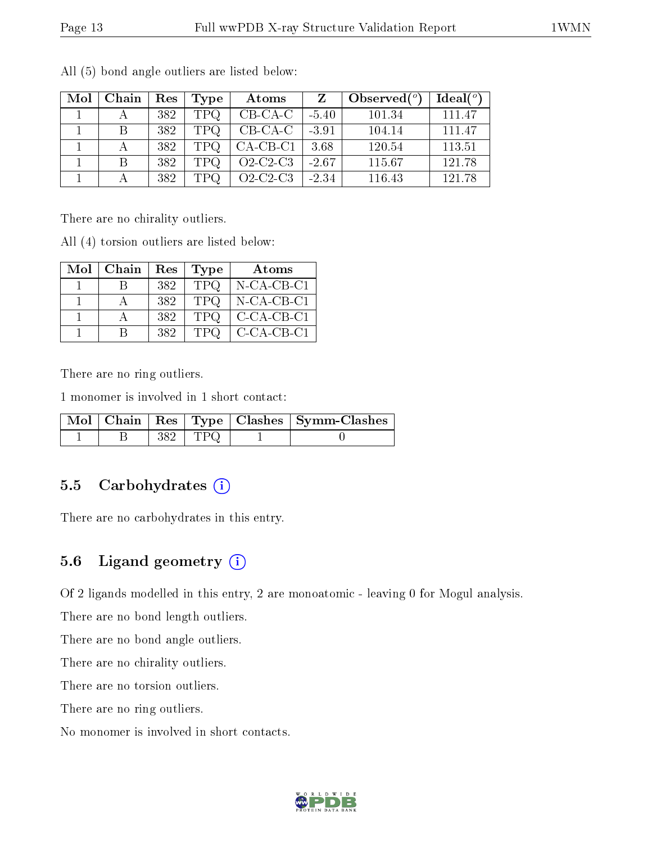| Mol | Chain | Res | Type       | Atoms      |         | Observed $(°)$ | Ideal $(°)$ |
|-----|-------|-----|------------|------------|---------|----------------|-------------|
|     |       | 382 | <b>TPQ</b> | $CB-CA-C$  | $-5.40$ | 101.34         | 111.47      |
|     | В     | 382 | <b>TPQ</b> | $CB-CA-C$  | $-3.91$ | 104.14         | 111.47      |
|     |       | 382 | <b>TPQ</b> | $CA-CB-CI$ | 3.68    | 120.54         | 113.51      |
|     |       | 382 | TPQ        | $O2-C2-C3$ | $-2.67$ | 115.67         | 121.78      |
|     |       | 382 | TPO.       | $O2-C2-C3$ | $-2.34$ | 116.43         | 121.78      |

All (5) bond angle outliers are listed below:

There are no chirality outliers.

All (4) torsion outliers are listed below:

| Mol | Chain | Res | Type       | Atoms         |
|-----|-------|-----|------------|---------------|
|     |       | 382 | <b>TPQ</b> | $N$ -CA-CB-C1 |
|     |       | 382 | TPQ        | $N-CA-CB-C1$  |
|     |       | 382 | <b>TPQ</b> | $C-CA-CB-C1$  |
|     |       | 382 | <b>TPQ</b> | C-CA-CB-C1    |

There are no ring outliers.

1 monomer is involved in 1 short contact:

|  |           | Mol   Chain   Res   Type   Clashes   Symm-Clashes |
|--|-----------|---------------------------------------------------|
|  | 382   TPQ |                                                   |

### 5.5 Carbohydrates  $(i)$

There are no carbohydrates in this entry.

### 5.6 Ligand geometry  $(i)$

Of 2 ligands modelled in this entry, 2 are monoatomic - leaving 0 for Mogul analysis.

There are no bond length outliers.

There are no bond angle outliers.

There are no chirality outliers.

There are no torsion outliers.

There are no ring outliers.

No monomer is involved in short contacts.

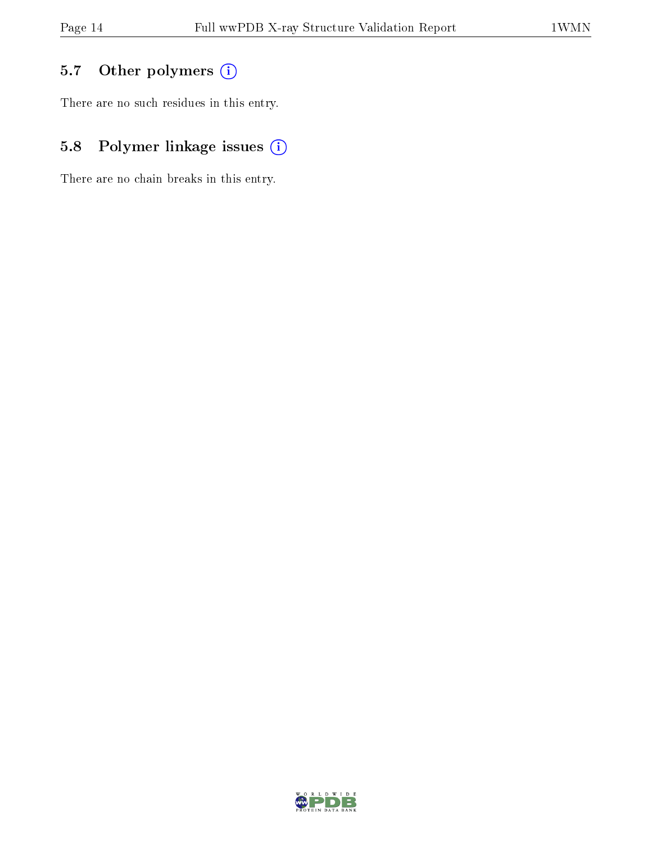# 5.7 [O](https://www.wwpdb.org/validation/2017/XrayValidationReportHelp#nonstandard_residues_and_ligands)ther polymers (i)

There are no such residues in this entry.

# 5.8 Polymer linkage issues (i)

There are no chain breaks in this entry.

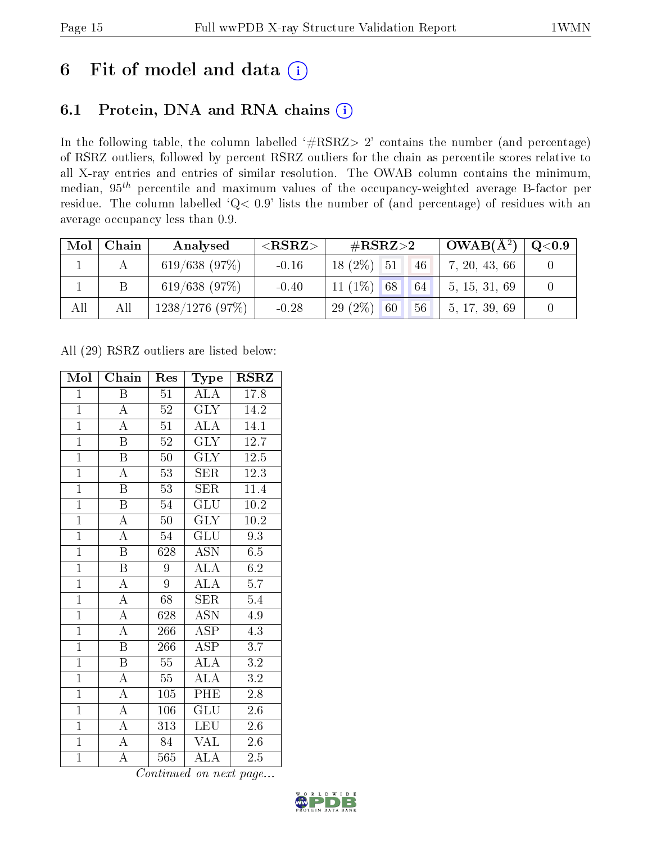# 6 Fit of model and data  $(i)$

## 6.1 Protein, DNA and RNA chains  $(i)$

In the following table, the column labelled  $#RSRZ> 2'$  contains the number (and percentage) of RSRZ outliers, followed by percent RSRZ outliers for the chain as percentile scores relative to all X-ray entries and entries of similar resolution. The OWAB column contains the minimum, median,  $95<sup>th</sup>$  percentile and maximum values of the occupancy-weighted average B-factor per residue. The column labelled ' $Q< 0.9$ ' lists the number of (and percentage) of residues with an average occupancy less than 0.9.

| Mol | Chain | Analysed       | ${ <\hspace{-1.5pt}{\mathrm{RSRZ}} \hspace{-1.5pt}>}$ | $\#\text{RSRZ}{>}2$   | $\overline{\rm 1~OWAB(A^2)}$ | Q <sub>0.9</sub> |
|-----|-------|----------------|-------------------------------------------------------|-----------------------|------------------------------|------------------|
|     |       | 619/638 (97%)  | $-0.16$                                               | $18(2\%)$ 51<br>46    | 7, 20, 43, 66                |                  |
|     |       | 619/638(97%)   | $-0.40$                                               | 11 $(1\%)$ 68<br>64   | 5, 15, 31, 69                |                  |
| All | All   | 1238/1276(97%) | $-0.28$                                               | $29(2\%)$<br>56<br>60 | 5, 17, 39, 69                |                  |

All (29) RSRZ outliers are listed below:

| Mol            | Chain                   | Res             | <b>Type</b>               | <b>RSRZ</b>       |
|----------------|-------------------------|-----------------|---------------------------|-------------------|
| $\mathbf{1}$   | $\, {\bf B}$            | 51              | <b>ALA</b>                | 17.8              |
| $\mathbf{1}$   | $\overline{A}$          | 52              | <b>GLY</b>                | 14.2              |
| $\overline{1}$ | $\overline{\rm A}$      | 51              | ALA                       | 14.1              |
| $\overline{1}$ | $\overline{\mathrm{B}}$ | 52              | $\overline{\text{GLY}}$   | 12.7              |
| $\overline{1}$ | $\overline{\mathrm{B}}$ | $\overline{50}$ | $\overline{\text{GLY}}$   | 12.5              |
| $\overline{1}$ | $\overline{\rm A}$      | 53              | <b>SER</b>                | 12.3              |
| $\overline{1}$ | $\overline{\mathrm{B}}$ | 53              | <b>SER</b>                | 11.4              |
| $\overline{1}$ | $\overline{\mathrm{B}}$ | 54              | $\overline{{\rm GLU}}$    | $10.2\,$          |
| $\overline{1}$ | $\overline{\rm A}$      | 50              | <b>GLY</b>                | 10.2              |
| $\overline{1}$ | $\overline{A}$          | 54              | $\overline{\text{GLU}}$   | $\overline{9.3}$  |
| $\overline{1}$ | $\overline{\mathrm{B}}$ | 628             | $\overline{\mathrm{ASN}}$ | 6.5               |
| $\overline{1}$ | $\overline{\mathrm{B}}$ | 9               | $\overline{\rm ALA}$      | 6.2               |
| $\overline{1}$ | $\overline{\rm A}$      | 9               | $\overline{\rm ALA}$      | $\overline{5.7}$  |
| $\overline{1}$ | $\overline{\rm A}$      | 68              | <b>SER</b>                | 5.4               |
| $\overline{1}$ | $\overline{\rm A}$      | 628             | $\overline{\mathrm{ASN}}$ | 4.9               |
| $\overline{1}$ | $\overline{\rm A}$      | 266             | $\overline{\rm ASP}$      | 4.3               |
| $\overline{1}$ | $\overline{\mathrm{B}}$ | 266             | $\overline{\text{ASP}}$   | $\overline{3.7}$  |
| $\mathbf{1}$   | $\, {\bf B}$            | 55              | $\overline{\rm ALA}$      | $\overline{3.2}$  |
| $\overline{1}$ | $\overline{\rm A}$      | 55              | $\overline{\text{ALA}}$   | $\overline{3.2}$  |
| $\overline{1}$ | $\overline{\rm A}$      | 105             | PHE                       | 2.8               |
| $\overline{1}$ | $\overline{\rm A}$      | 106             | GLU                       | $2.6\,$           |
| $\overline{1}$ | $\overline{A}$          | 313             | LEU                       | $2.6\,$           |
| $\mathbf{1}$   | $\overline{\rm A}$      | 84              | <b>VAL</b>                | 2.6               |
| $\overline{1}$ | $\overline{\rm A}$      | 565<br>$\cdots$ | $\rm ALA$                 | $2.5\overline{)}$ |